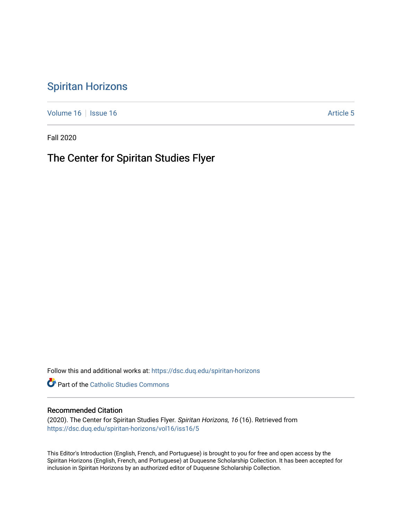## [Spiritan Horizons](https://dsc.duq.edu/spiritan-horizons)

[Volume 16](https://dsc.duq.edu/spiritan-horizons/vol16) | [Issue 16](https://dsc.duq.edu/spiritan-horizons/vol16/iss16) | Issue 16 | Issue 16 | Issue 16 | Issue 16 | Issue 16 | Issue 16 | Issue 16 | Issue 16 | Issue 16 | Issue 16 | Issue 16 | Issue 16 | Issue 16 | Issue 16 | Issue 16 | Issue 16 | Issue 16 | Issue 16 | I

Fall 2020

## The Center for Spiritan Studies Flyer

Follow this and additional works at: [https://dsc.duq.edu/spiritan-horizons](https://dsc.duq.edu/spiritan-horizons?utm_source=dsc.duq.edu%2Fspiritan-horizons%2Fvol16%2Fiss16%2F5&utm_medium=PDF&utm_campaign=PDFCoverPages)

**Part of the [Catholic Studies Commons](http://network.bepress.com/hgg/discipline/1294?utm_source=dsc.duq.edu%2Fspiritan-horizons%2Fvol16%2Fiss16%2F5&utm_medium=PDF&utm_campaign=PDFCoverPages)** 

#### Recommended Citation

(2020). The Center for Spiritan Studies Flyer. Spiritan Horizons, 16 (16). Retrieved from [https://dsc.duq.edu/spiritan-horizons/vol16/iss16/5](https://dsc.duq.edu/spiritan-horizons/vol16/iss16/5?utm_source=dsc.duq.edu%2Fspiritan-horizons%2Fvol16%2Fiss16%2F5&utm_medium=PDF&utm_campaign=PDFCoverPages)

This Editor's Introduction (English, French, and Portuguese) is brought to you for free and open access by the Spiritan Horizons (English, French, and Portuguese) at Duquesne Scholarship Collection. It has been accepted for inclusion in Spiritan Horizons by an authorized editor of Duquesne Scholarship Collection.